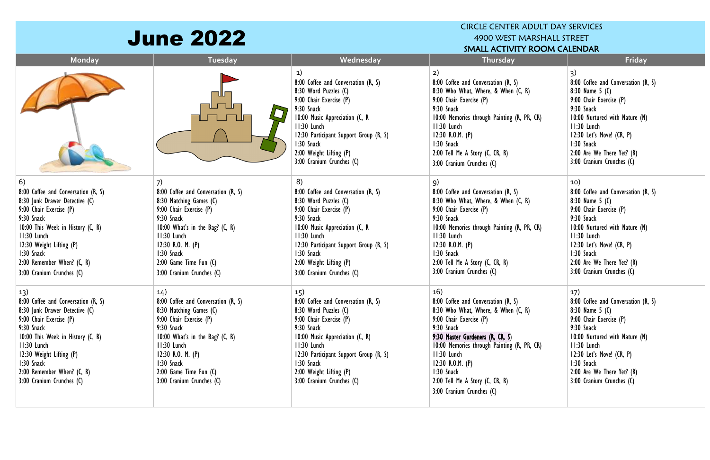| <b>June 2022</b>                                                                                                                                                                                                                                                                 |                                                                                                                                                                                                                                                                  | <b>CIRCLE CENTER ADULT DAY SERVICES</b><br>4900 WEST MARSHALL STREET<br>SMALL ACTIVITY ROOM CALENDAR                                                                                                                                                                           |                                                                                                                                                                                                                                                                                                                                  |                                                                                                                                                                                                                                                                    |
|----------------------------------------------------------------------------------------------------------------------------------------------------------------------------------------------------------------------------------------------------------------------------------|------------------------------------------------------------------------------------------------------------------------------------------------------------------------------------------------------------------------------------------------------------------|--------------------------------------------------------------------------------------------------------------------------------------------------------------------------------------------------------------------------------------------------------------------------------|----------------------------------------------------------------------------------------------------------------------------------------------------------------------------------------------------------------------------------------------------------------------------------------------------------------------------------|--------------------------------------------------------------------------------------------------------------------------------------------------------------------------------------------------------------------------------------------------------------------|
| Monday                                                                                                                                                                                                                                                                           | <b>Tuesday</b>                                                                                                                                                                                                                                                   | Wednesday                                                                                                                                                                                                                                                                      | Thursday                                                                                                                                                                                                                                                                                                                         | Friday                                                                                                                                                                                                                                                             |
|                                                                                                                                                                                                                                                                                  |                                                                                                                                                                                                                                                                  | 1)<br>8:00 Coffee and Conversation (R, S)<br>8:30 Word Puzzles (C)<br>9:00 Chair Exercise (P)<br>9:30 Snack<br>10:00 Music Appreciation (C, R<br>11:30 Lunch<br>12:30 Participant Support Group (R, S)<br>1:30 Snack<br>2:00 Weight Lifting (P)<br>3:00 Cranium Crunches (C)   | 2)<br>8:00 Coffee and Conversation (R, S)<br>8:30 Who What, Where, & When (C, R)<br>9:00 Chair Exercise (P)<br>9:30 Snack<br>10:00 Memories through Painting (R, PR, CR)<br>II:30 Lunch<br>12:30 R.O.M. $(P)$<br>1:30 Snack<br>2:00 Tell Me A Story (C, CR, R)<br>3:00 Cranium Crunches (C)                                      | 3)<br>8:00 Coffee and Conversation (R, S)<br>8:30 Name $5(0)$<br>9:00 Chair Exercise (P)<br>9:30 Snack<br>10:00 Nurtured with Nature (N)<br>11:30 Lunch<br>12:30 Let's Move! (CR, P)<br>1:30 Snack<br>2:00 Are We There Yet? (R)<br>3:00 Cranium Crunches (C)      |
| 6)<br>8:00 Coffee and Conversation (R, S)<br>8:30 Junk Drawer Detective (C)<br>9:00 Chair Exercise (P)<br>9:30 Snack<br>10:00 This Week in History (C, R)<br>11:30 Lunch<br>12:30 Weight Lifting (P)<br>1:30 Snack<br>2:00 Remember When? (C, R)<br>3:00 Cranium Crunches (C)    | 7)<br>8:00 Coffee and Conversation (R, S)<br>8:30 Matching Games (C)<br>9:00 Chair Exercise (P)<br>9:30 Snack<br>10:00 What's in the Bag? (C, R)<br>11:30 Lunch<br>12:30 R.O. M. $(P)$<br>1:30 Snack<br>$2:00$ Game Time Fun $(C)$<br>3:00 Cranium Crunches (C)  | 8)<br>8:00 Coffee and Conversation (R, S)<br>8:30 Word Puzzles (C)<br>9:00 Chair Exercise (P)<br>9:30 Snack<br>10:00 Music Appreciation (C, R<br>11:30 Lunch<br>12:30 Participant Support Group (R, S)<br>1:30 Snack<br>2:00 Weight Lifting (P)<br>3:00 Cranium Crunches (C)   | 9)<br>8:00 Coffee and Conversation (R, S)<br>8:30 Who What, Where, & When (C, R)<br>9:00 Chair Exercise (P)<br>9:30 Snack<br>10:00 Memories through Painting (R, PR, CR)<br>II:30 Lunch<br>12:30 R.O.M. $(P)$<br>1:30 Snack<br>2:00 Tell Me A Story (C, CR, R)<br>3:00 Cranium Crunches (C)                                      | 10)<br>8:00 Coffee and Conversation (R, S)<br>8:30 Name $5(0)$<br>9:00 Chair Exercise (P)<br>9:30 Snack<br>10:00 Nurtured with Nature (N)<br>11:30 Lunch<br>$12:30$ Let's Move! $(CR, P)$<br>1:30 Snack<br>2:00 Are We There Yet? (R)<br>3:00 Cranium Crunches (C) |
| 13)<br>8:00 Coffee and Conversation (R, S)<br>8:30 Junk Drawer Detective (C)<br>9:00 Chair Exercise (P)<br>9:30 Snack<br>10:00 This Week in History (C, R)<br>$11:30$ Lunch<br>12:30 Weight Lifting (P)<br>1:30 Snack<br>2:00 Remember When? (C, R)<br>3:00 Cranium Crunches (C) | 14)<br>8:00 Coffee and Conversation (R, S)<br>8:30 Matching Games (C)<br>9:00 Chair Exercise (P)<br>9:30 Snack<br>10:00 What's in the Bag? (C, R)<br>11:30 Lunch<br>12:30 R.O. M. $(P)$<br>1:30 Snack<br>$2:00$ Game Time Fun $(C)$<br>3:00 Cranium Crunches (C) | 15)<br>8:00 Coffee and Conversation (R, S)<br>8:30 Word Puzzles (C)<br>9:00 Chair Exercise (P)<br>9:30 Snack<br>10:00 Music Appreciation (C, R)<br>II:30 Lunch<br>12:30 Participant Support Group (R, S)<br>1:30 Snack<br>2:00 Weight Lifting (P)<br>3:00 Cranium Crunches (C) | 16)<br>8:00 Coffee and Conversation (R, S)<br>8:30 Who What, Where, & When (C, R)<br>9:00 Chair Exercise (P)<br>9:30 Snack<br>9:30 Master Gardeners (R, CR, S)<br>10:00 Memories through Painting (R, PR, CR)<br>II:30 Lunch<br>12:30 R.O.M. $(P)$<br>1:30 Snack<br>2:00 Tell Me A Story (C, CR, R)<br>3:00 Cranium Crunches (C) | 17)<br>8:00 Coffee and Conversation (R, S)<br>8:30 Name 5 (C)<br>9:00 Chair Exercise (P)<br>9:30 Snack<br>10:00 Nurtured with Nature (N)<br>$11:30$ Lunch<br>$12:30$ Let's Move! (CR, P)<br>1:30 Snack<br>2:00 Are We There Yet? (R)<br>3:00 Cranium Crunches (C)  |